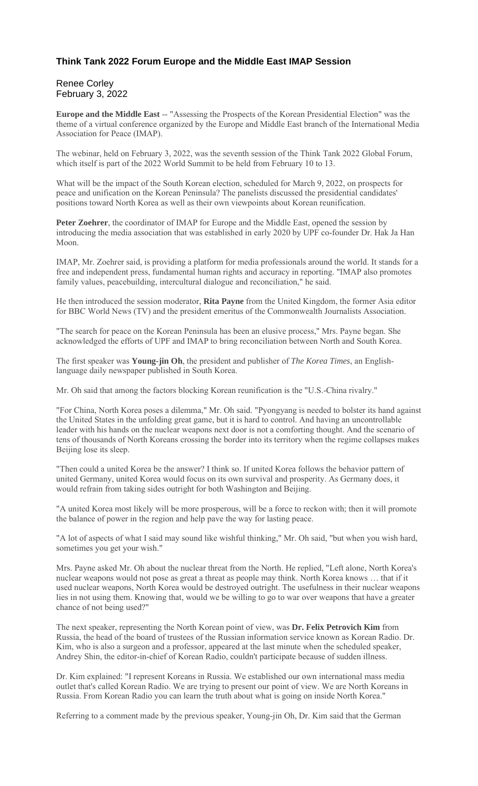## **Think Tank 2022 Forum Europe and the Middle East IMAP Session**

## Renee Corley February 3, 2022

**Europe and the Middle East** -- "Assessing the Prospects of the Korean Presidential Election" was the theme of a virtual conference organized by the Europe and Middle East branch of the International Media Association for Peace (IMAP).

The webinar, held on February 3, 2022, was the seventh session of the Think Tank 2022 Global Forum, which itself is part of the 2022 World Summit to be held from February 10 to 13.

What will be the impact of the South Korean election, scheduled for March 9, 2022, on prospects for peace and unification on the Korean Peninsula? The panelists discussed the presidential candidates' positions toward North Korea as well as their own viewpoints about Korean reunification.

**Peter Zoehrer**, the coordinator of IMAP for Europe and the Middle East, opened the session by introducing the media association that was established in early 2020 by UPF co-founder Dr. Hak Ja Han Moon.

IMAP, Mr. Zoehrer said, is providing a platform for media professionals around the world. It stands for a free and independent press, fundamental human rights and accuracy in reporting. "IMAP also promotes family values, peacebuilding, intercultural dialogue and reconciliation," he said.

He then introduced the session moderator, **Rita Payne** from the United Kingdom, the former Asia editor for BBC World News (TV) and the president emeritus of the Commonwealth Journalists Association.

"The search for peace on the Korean Peninsula has been an elusive process," Mrs. Payne began. She acknowledged the efforts of UPF and IMAP to bring reconciliation between North and South Korea.

The first speaker was **Young-jin Oh**, the president and publisher of *The Korea Times*, an Englishlanguage daily newspaper published in South Korea.

Mr. Oh said that among the factors blocking Korean reunification is the "U.S.-China rivalry."

"For China, North Korea poses a dilemma," Mr. Oh said. "Pyongyang is needed to bolster its hand against the United States in the unfolding great game, but it is hard to control. And having an uncontrollable leader with his hands on the nuclear weapons next door is not a comforting thought. And the scenario of tens of thousands of North Koreans crossing the border into its territory when the regime collapses makes Beijing lose its sleep.

"Then could a united Korea be the answer? I think so. If united Korea follows the behavior pattern of united Germany, united Korea would focus on its own survival and prosperity. As Germany does, it would refrain from taking sides outright for both Washington and Beijing.

"A united Korea most likely will be more prosperous, will be a force to reckon with; then it will promote the balance of power in the region and help pave the way for lasting peace.

"A lot of aspects of what I said may sound like wishful thinking," Mr. Oh said, "but when you wish hard, sometimes you get your wish."

Mrs. Payne asked Mr. Oh about the nuclear threat from the North. He replied, "Left alone, North Korea's nuclear weapons would not pose as great a threat as people may think. North Korea knows … that if it used nuclear weapons, North Korea would be destroyed outright. The usefulness in their nuclear weapons lies in not using them. Knowing that, would we be willing to go to war over weapons that have a greater chance of not being used?"

The next speaker, representing the North Korean point of view, was **Dr. Felix Petrovich Kim** from Russia, the head of the board of trustees of the Russian information service known as Korean Radio. Dr. Kim, who is also a surgeon and a professor, appeared at the last minute when the scheduled speaker, Andrey Shin, the editor-in-chief of Korean Radio, couldn't participate because of sudden illness.

Dr. Kim explained: "I represent Koreans in Russia. We established our own international mass media outlet that's called Korean Radio. We are trying to present our point of view. We are North Koreans in Russia. From Korean Radio you can learn the truth about what is going on inside North Korea."

Referring to a comment made by the previous speaker, Young-jin Oh, Dr. Kim said that the German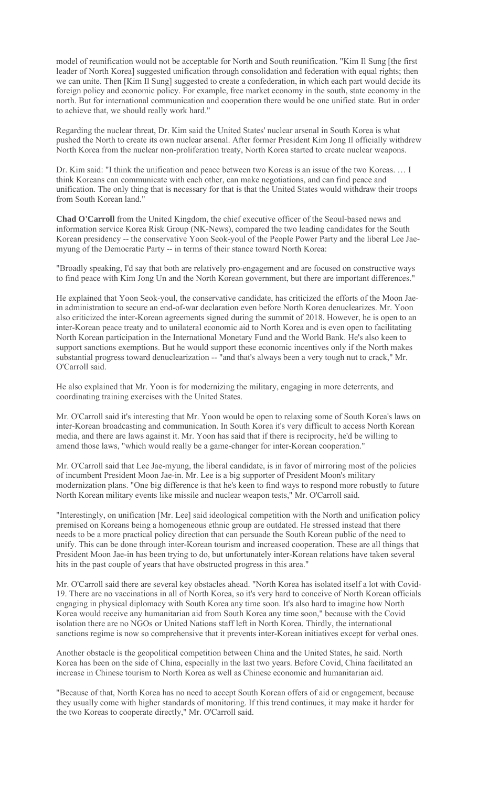model of reunification would not be acceptable for North and South reunification. "Kim Il Sung [the first leader of North Korea] suggested unification through consolidation and federation with equal rights; then we can unite. Then [Kim Il Sung] suggested to create a confederation, in which each part would decide its foreign policy and economic policy. For example, free market economy in the south, state economy in the north. But for international communication and cooperation there would be one unified state. But in order to achieve that, we should really work hard."

Regarding the nuclear threat, Dr. Kim said the United States' nuclear arsenal in South Korea is what pushed the North to create its own nuclear arsenal. After former President Kim Jong Il officially withdrew North Korea from the nuclear non-proliferation treaty, North Korea started to create nuclear weapons.

Dr. Kim said: "I think the unification and peace between two Koreas is an issue of the two Koreas. … I think Koreans can communicate with each other, can make negotiations, and can find peace and unification. The only thing that is necessary for that is that the United States would withdraw their troops from South Korean land."

**Chad O'Carroll** from the United Kingdom, the chief executive officer of the Seoul-based news and information service Korea Risk Group (NK-News), compared the two leading candidates for the South Korean presidency -- the conservative Yoon Seok-youl of the People Power Party and the liberal Lee Jaemyung of the Democratic Party -- in terms of their stance toward North Korea:

"Broadly speaking, I'd say that both are relatively pro-engagement and are focused on constructive ways to find peace with Kim Jong Un and the North Korean government, but there are important differences."

He explained that Yoon Seok-youl, the conservative candidate, has criticized the efforts of the Moon Jaein administration to secure an end-of-war declaration even before North Korea denuclearizes. Mr. Yoon also criticized the inter-Korean agreements signed during the summit of 2018. However, he is open to an inter-Korean peace treaty and to unilateral economic aid to North Korea and is even open to facilitating North Korean participation in the International Monetary Fund and the World Bank. He's also keen to support sanctions exemptions. But he would support these economic incentives only if the North makes substantial progress toward denuclearization -- "and that's always been a very tough nut to crack," Mr. O'Carroll said.

He also explained that Mr. Yoon is for modernizing the military, engaging in more deterrents, and coordinating training exercises with the United States.

Mr. O'Carroll said it's interesting that Mr. Yoon would be open to relaxing some of South Korea's laws on inter-Korean broadcasting and communication. In South Korea it's very difficult to access North Korean media, and there are laws against it. Mr. Yoon has said that if there is reciprocity, he'd be willing to amend those laws, "which would really be a game-changer for inter-Korean cooperation."

Mr. O'Carroll said that Lee Jae-myung, the liberal candidate, is in favor of mirroring most of the policies of incumbent President Moon Jae-in. Mr. Lee is a big supporter of President Moon's military modernization plans. "One big difference is that he's keen to find ways to respond more robustly to future North Korean military events like missile and nuclear weapon tests," Mr. O'Carroll said.

"Interestingly, on unification [Mr. Lee] said ideological competition with the North and unification policy premised on Koreans being a homogeneous ethnic group are outdated. He stressed instead that there needs to be a more practical policy direction that can persuade the South Korean public of the need to unify. This can be done through inter-Korean tourism and increased cooperation. These are all things that President Moon Jae-in has been trying to do, but unfortunately inter-Korean relations have taken several hits in the past couple of years that have obstructed progress in this area."

Mr. O'Carroll said there are several key obstacles ahead. "North Korea has isolated itself a lot with Covid-19. There are no vaccinations in all of North Korea, so it's very hard to conceive of North Korean officials engaging in physical diplomacy with South Korea any time soon. It's also hard to imagine how North Korea would receive any humanitarian aid from South Korea any time soon," because with the Covid isolation there are no NGOs or United Nations staff left in North Korea. Thirdly, the international sanctions regime is now so comprehensive that it prevents inter-Korean initiatives except for verbal ones.

Another obstacle is the geopolitical competition between China and the United States, he said. North Korea has been on the side of China, especially in the last two years. Before Covid, China facilitated an increase in Chinese tourism to North Korea as well as Chinese economic and humanitarian aid.

"Because of that, North Korea has no need to accept South Korean offers of aid or engagement, because they usually come with higher standards of monitoring. If this trend continues, it may make it harder for the two Koreas to cooperate directly," Mr. O'Carroll said.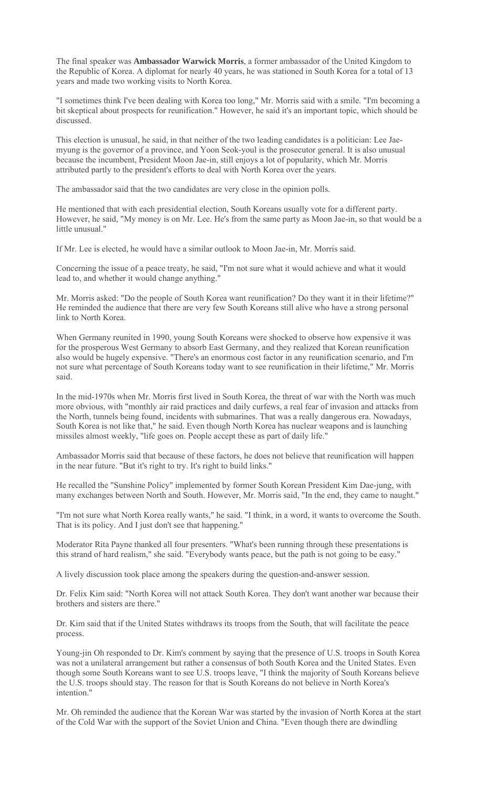The final speaker was **Ambassador Warwick Morris**, a former ambassador of the United Kingdom to the Republic of Korea. A diplomat for nearly 40 years, he was stationed in South Korea for a total of 13 years and made two working visits to North Korea.

"I sometimes think I've been dealing with Korea too long," Mr. Morris said with a smile. "I'm becoming a bit skeptical about prospects for reunification." However, he said it's an important topic, which should be discussed.

This election is unusual, he said, in that neither of the two leading candidates is a politician: Lee Jaemyung is the governor of a province, and Yoon Seok-youl is the prosecutor general. It is also unusual because the incumbent, President Moon Jae-in, still enjoys a lot of popularity, which Mr. Morris attributed partly to the president's efforts to deal with North Korea over the years.

The ambassador said that the two candidates are very close in the opinion polls.

He mentioned that with each presidential election, South Koreans usually vote for a different party. However, he said, "My money is on Mr. Lee. He's from the same party as Moon Jae-in, so that would be a little unusual."

If Mr. Lee is elected, he would have a similar outlook to Moon Jae-in, Mr. Morris said.

Concerning the issue of a peace treaty, he said, "I'm not sure what it would achieve and what it would lead to, and whether it would change anything."

Mr. Morris asked: "Do the people of South Korea want reunification? Do they want it in their lifetime?" He reminded the audience that there are very few South Koreans still alive who have a strong personal link to North Korea.

When Germany reunited in 1990, young South Koreans were shocked to observe how expensive it was for the prosperous West Germany to absorb East Germany, and they realized that Korean reunification also would be hugely expensive. "There's an enormous cost factor in any reunification scenario, and I'm not sure what percentage of South Koreans today want to see reunification in their lifetime," Mr. Morris said.

In the mid-1970s when Mr. Morris first lived in South Korea, the threat of war with the North was much more obvious, with "monthly air raid practices and daily curfews, a real fear of invasion and attacks from the North, tunnels being found, incidents with submarines. That was a really dangerous era. Nowadays, South Korea is not like that," he said. Even though North Korea has nuclear weapons and is launching missiles almost weekly, "life goes on. People accept these as part of daily life."

Ambassador Morris said that because of these factors, he does not believe that reunification will happen in the near future. "But it's right to try. It's right to build links."

He recalled the "Sunshine Policy" implemented by former South Korean President Kim Dae-jung, with many exchanges between North and South. However, Mr. Morris said, "In the end, they came to naught."

"I'm not sure what North Korea really wants," he said. "I think, in a word, it wants to overcome the South. That is its policy. And I just don't see that happening."

Moderator Rita Payne thanked all four presenters. "What's been running through these presentations is this strand of hard realism," she said. "Everybody wants peace, but the path is not going to be easy."

A lively discussion took place among the speakers during the question-and-answer session.

Dr. Felix Kim said: "North Korea will not attack South Korea. They don't want another war because their brothers and sisters are there."

Dr. Kim said that if the United States withdraws its troops from the South, that will facilitate the peace process.

Young-jin Oh responded to Dr. Kim's comment by saying that the presence of U.S. troops in South Korea was not a unilateral arrangement but rather a consensus of both South Korea and the United States. Even though some South Koreans want to see U.S. troops leave, "I think the majority of South Koreans believe the U.S. troops should stay. The reason for that is South Koreans do not believe in North Korea's intention."

Mr. Oh reminded the audience that the Korean War was started by the invasion of North Korea at the start of the Cold War with the support of the Soviet Union and China. "Even though there are dwindling